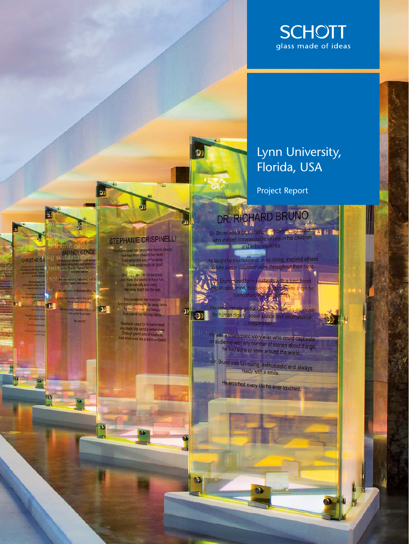

## Lynn University, Florida, USA

**Project Report** 

# DR. RICHARD BRUNO

 $\mathbf{D}$ 

 $\mathbf{D}$ 

B

STEPHANIE CRISPINELLI re loved her family, and friends deeply.<br>Ad kept them close to her heart

en when she was miles away<br>en when she was miles away

the sciences and the top seriously<br>of made it a priority to have fun<br>She was silly and crazy,<br>Her sinke bright like the sun

She broadened her honzons<br>broady the about to day away lands<br>To fass the poor and hungry<br>And extend hist helping hands

Stephanie cared for those in meet<br>And made this world a better prince<br>Through grand acts of kindness<br>And small ones like a warm embrac

 $\mathbf{r}$ 

ÐI

D

id)

BRITNEY GENGE

**Printed by Pole Charles** 

**Be Lite Ber** 

**La fired casier** 

יו<del>טר וישימ</del>ות 101

ង ga

Ŀ

CHRISTINE G.A

B

Dr. Bruno was a proud father and commuted teacherys [1]<br>who instilled immeasurable values in his children<br>and in his sludents.

The taught by example and in so doing, inspired others to take part in volunteer work throughout their lives.

**of**<br>Wr. Bruno cared for his patients with a kind heart<br>ind an open mind, belie<mark>ving modern rewas a grit</mark> he as a gift he could shar the consummate global diagnostic with the consummate global diagnostic with the consumer ocal The cons

He was a charismatic storyteller who could captivate n audience with any number of stories about things<br>he had cone or seen around the world.

Dr. Bruno was fun-loving, enthusiastic and always ready with a smile.

He enriched every life he ever touched.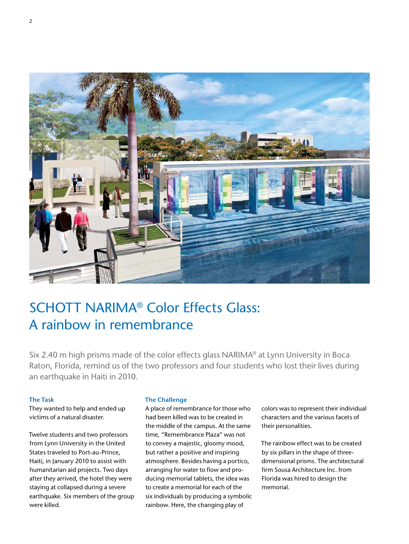

# SCHOTT NARIMA® Color Effects Glass: A rainbow in remembrance

Six 2.40 m high prisms made of the color effects glass NARIMA® at Lynn University in Boca Raton, Florida, remind us of the two professors and four students who lost their lives during an earthquake in Haiti in 2010.

#### **The Task**

They wanted to help and ended up victims of a natural disaster.

Twelve students and two professors from Lynn University in the United States traveled to Port-au-Prince, Haiti, in January 2010 to assist with humanitarian aid projects. Two days after they arrived, the hotel they were staying at collapsed during a severe earthquake. Six members of the group were killed.

#### **The Challenge**

A place of remembrance for those who had been killed was to be created in the middle of the campus. At the same time, "Remembrance Plaza" was not to convey a majestic, gloomy mood, but rather a positive and inspiring atmosphere. Besides having a portico, arranging for water to flow and producing memorial tablets, the idea was to create a memorial for each of the six individuals by producing a symbolic rainbow. Here, the changing play of

colors was to represent their individual characters and the various facets of their personalities.

The rainbow effect was to be created by six pillars in the shape of threedimensional prisms. The architectural firm Sousa Architecture Inc. from Florida was hired to design the memorial.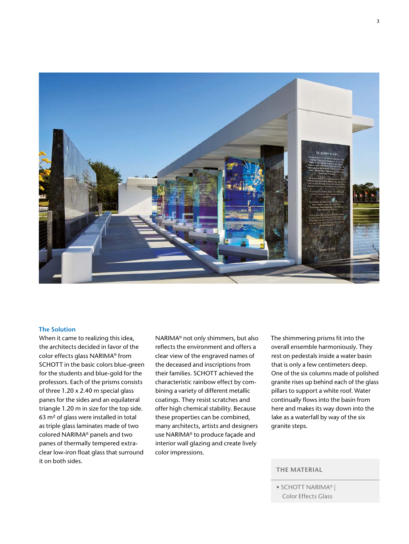

#### **The Solution**

When it came to realizing this idea, the architects decided in favor of the color effects glass NARIMA® from SCHOTT in the basic colors blue-green for the students and blue-gold for the professors. Each of the prisms consists of three 1.20 x 2.40 m special glass panes for the sides and an equilateral triangle 1.20 m in size for the top side. 63 m² of glass were installed in total as triple glass laminates made of two colored NARIMA® panels and two panes of thermally tempered extraclear low-iron float glass that surround it on both sides.

NARIMA® not only shimmers, but also reflects the environment and offers a clear view of the engraved names of the deceased and inscriptions from their families. SCHOTT achieved the characteristic rainbow effect by combining a variety of different metallic coatings. They resist scratches and offer high chemical stability. Because these properties can be combined, many architects, artists and designers use NARIMA® to produce façade and interior wall glazing and create lively color impressions.

The shimmering prisms fit into the overall ensemble harmoniously. They rest on pedestals inside a water basin that is only a few centimeters deep. One of the six columns made of polished granite rises up behind each of the glass pillars to support a white roof. Water continually flows into the basin from here and makes its way down into the lake as a waterfall by way of the six granite steps.

## **THE MATERIAL**

<sup>•</sup> SCHOTT NARIMA® | Color Effects Glass